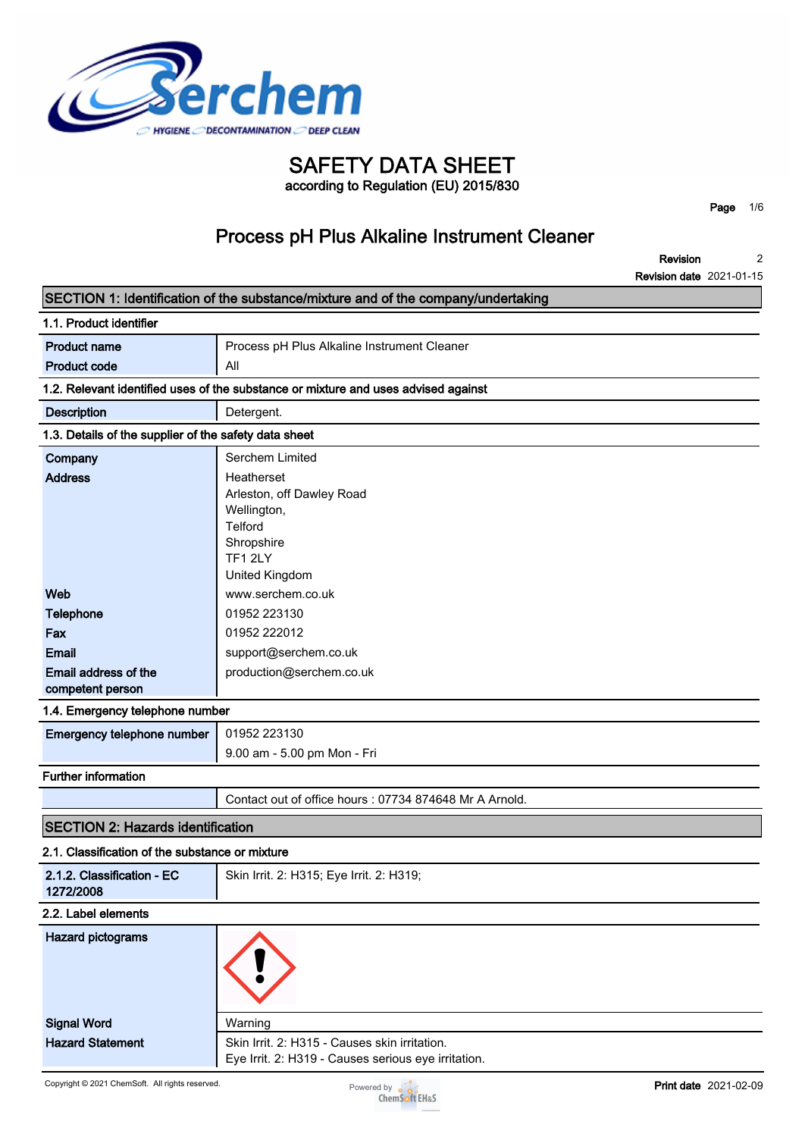

## **SAFETY DATA SHEET according to Regulation (EU) 2015/830**

**Page 1/6**

# **Process pH Plus Alkaline Instrument Cleaner**

**Revision 2 2021-01-15**

|                                                                                    | <b>Revision date 2021-01-15</b>                                                                              |  |  |
|------------------------------------------------------------------------------------|--------------------------------------------------------------------------------------------------------------|--|--|
|                                                                                    | SECTION 1: Identification of the substance/mixture and of the company/undertaking                            |  |  |
| 1.1. Product identifier                                                            |                                                                                                              |  |  |
| <b>Product name</b>                                                                | Process pH Plus Alkaline Instrument Cleaner                                                                  |  |  |
| <b>Product code</b>                                                                | All                                                                                                          |  |  |
| 1.2. Relevant identified uses of the substance or mixture and uses advised against |                                                                                                              |  |  |
| <b>Description</b>                                                                 | Detergent.                                                                                                   |  |  |
| 1.3. Details of the supplier of the safety data sheet                              |                                                                                                              |  |  |
| Company                                                                            | Serchem Limited                                                                                              |  |  |
| <b>Address</b>                                                                     | Heatherset<br>Arleston, off Dawley Road<br>Wellington,<br>Telford<br>Shropshire<br>TF1 2LY<br>United Kingdom |  |  |
| Web                                                                                | www.serchem.co.uk                                                                                            |  |  |
| Telephone                                                                          | 01952 223130                                                                                                 |  |  |
| Fax                                                                                | 01952 222012                                                                                                 |  |  |
| <b>Email</b>                                                                       | support@serchem.co.uk                                                                                        |  |  |
| Email address of the<br>competent person                                           | production@serchem.co.uk                                                                                     |  |  |
| 1.4. Emergency telephone number                                                    |                                                                                                              |  |  |
| Emergency telephone number                                                         | 01952 223130                                                                                                 |  |  |
|                                                                                    | 9.00 am - 5.00 pm Mon - Fri                                                                                  |  |  |
| <b>Further information</b>                                                         |                                                                                                              |  |  |
|                                                                                    | Contact out of office hours: 07734 874648 Mr A Arnold.                                                       |  |  |
| <b>SECTION 2: Hazards identification</b>                                           |                                                                                                              |  |  |
| 2.1. Classification of the substance or mixture                                    |                                                                                                              |  |  |
| 2.1.2. Classification - EC<br>1272/2008                                            | Skin Irrit. 2: H315; Eye Irrit. 2: H319;                                                                     |  |  |
| 2.2. Label elements                                                                |                                                                                                              |  |  |
| <b>Hazard pictograms</b>                                                           |                                                                                                              |  |  |
| <b>Signal Word</b>                                                                 | Warning                                                                                                      |  |  |
| <b>Hazard Statement</b>                                                            | Skin Irrit. 2: H315 - Causes skin irritation.                                                                |  |  |
|                                                                                    | Eye Irrit. 2: H319 - Causes serious eye irritation.                                                          |  |  |

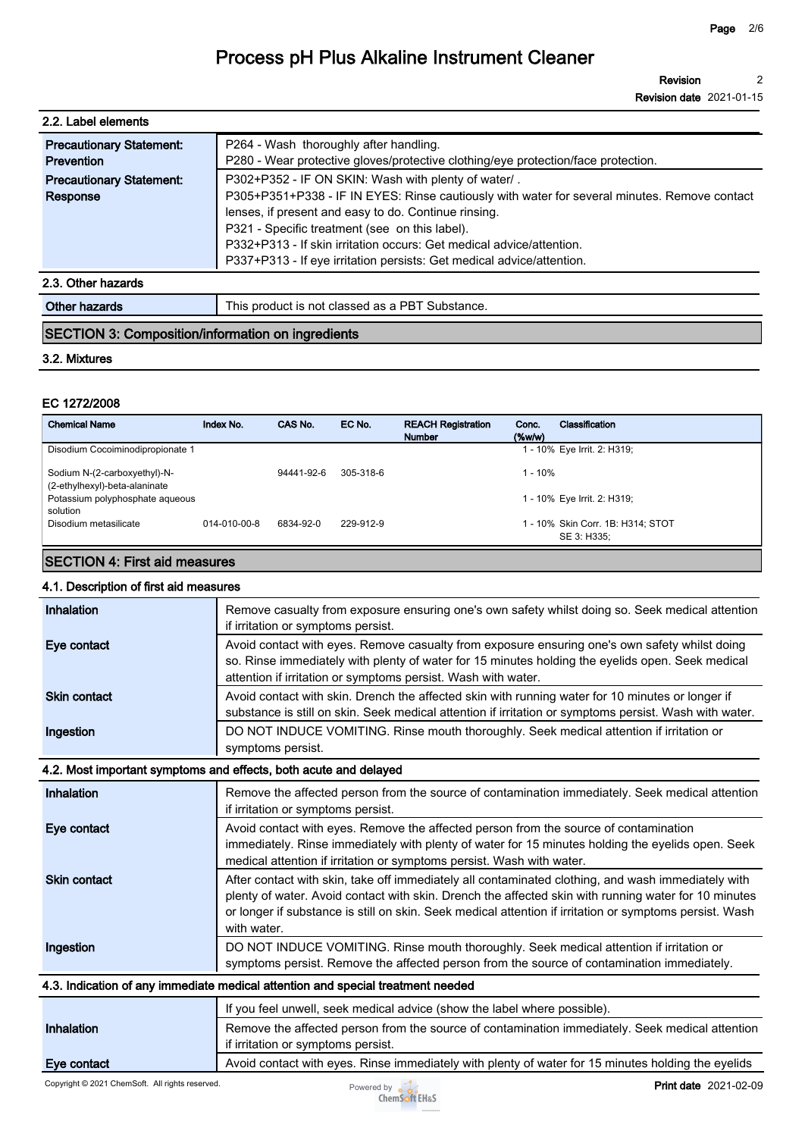| 2.2. Label elements             |                                                                                              |
|---------------------------------|----------------------------------------------------------------------------------------------|
| <b>Precautionary Statement:</b> | P264 - Wash thoroughly after handling.                                                       |
| <b>Prevention</b>               | P280 - Wear protective gloves/protective clothing/eye protection/face protection.            |
| <b>Precautionary Statement:</b> | P302+P352 - IF ON SKIN: Wash with plenty of water/.                                          |
| Response                        | P305+P351+P338 - IF IN EYES: Rinse cautiously with water for several minutes. Remove contact |
|                                 | lenses, if present and easy to do. Continue rinsing.                                         |
|                                 | P321 - Specific treatment (see on this label).                                               |
|                                 | P332+P313 - If skin irritation occurs: Get medical advice/attention.                         |
|                                 | P337+P313 - If eye irritation persists: Get medical advice/attention.                        |
| 2.3. Other hazards              |                                                                                              |

| 7th<br>. | _<br>nrod<br>hstance.<br>ിവ<br>his<br>$\sim$<br>ю<br>1922<br>all IC*.<br>. .<br>וור<br>ла<br>,,,, |
|----------|---------------------------------------------------------------------------------------------------|
|          |                                                                                                   |
|          |                                                                                                   |

## **SECTION 3: Composition/information on ingredients**

## **3.2. Mixtures**

### **EC 1272/2008**

| <b>Chemical Name</b>                                          | Index No.    | CAS No.    | EC No.    | <b>REACH Registration</b><br><b>Number</b> | Classification<br>Conc.<br>$(\%w/w)$             |
|---------------------------------------------------------------|--------------|------------|-----------|--------------------------------------------|--------------------------------------------------|
| Disodium Cocoiminodipropionate 1                              |              |            |           |                                            | 1 - 10% Eye Irrit. 2: H319;                      |
| Sodium N-(2-carboxyethyl)-N-<br>(2-ethylhexyl)-beta-alaninate |              | 94441-92-6 | 305-318-6 |                                            | 1 - 10%                                          |
| Potassium polyphosphate aqueous<br>solution                   |              |            |           |                                            | 1 - 10% Eye Irrit. 2: H319;                      |
| Disodium metasilicate                                         | 014-010-00-8 | 6834-92-0  | 229-912-9 |                                            | 1 - 10% Skin Corr. 1B: H314; STOT<br>SE 3: H335: |

## **SECTION 4: First aid measures**

## **4.1. Description of first aid measures**

| Inhalation          | Remove casualty from exposure ensuring one's own safety whilst doing so. Seek medical attention<br>if irritation or symptoms persist.                                                                                                                                                                                                |
|---------------------|--------------------------------------------------------------------------------------------------------------------------------------------------------------------------------------------------------------------------------------------------------------------------------------------------------------------------------------|
| Eye contact         | Avoid contact with eyes. Remove casualty from exposure ensuring one's own safety whilst doing<br>so. Rinse immediately with plenty of water for 15 minutes holding the eyelids open. Seek medical<br>attention if irritation or symptoms persist. Wash with water.                                                                   |
| <b>Skin contact</b> | Avoid contact with skin. Drench the affected skin with running water for 10 minutes or longer if<br>substance is still on skin. Seek medical attention if irritation or symptoms persist. Wash with water.                                                                                                                           |
| Ingestion           | DO NOT INDUCE VOMITING. Rinse mouth thoroughly. Seek medical attention if irritation or<br>symptoms persist.                                                                                                                                                                                                                         |
|                     | 4.2. Most important symptoms and effects, both acute and delayed                                                                                                                                                                                                                                                                     |
| Inhalation          | Remove the affected person from the source of contamination immediately. Seek medical attention<br>if irritation or symptoms persist.                                                                                                                                                                                                |
| Eye contact         | Avoid contact with eyes. Remove the affected person from the source of contamination<br>immediately. Rinse immediately with plenty of water for 15 minutes holding the eyelids open. Seek<br>medical attention if irritation or symptoms persist. Wash with water.                                                                   |
| <b>Skin contact</b> | After contact with skin, take off immediately all contaminated clothing, and wash immediately with<br>plenty of water. Avoid contact with skin. Drench the affected skin with running water for 10 minutes<br>or longer if substance is still on skin. Seek medical attention if irritation or symptoms persist. Wash<br>with water. |
| Ingestion           | DO NOT INDUCE VOMITING. Rinse mouth thoroughly. Seek medical attention if irritation or<br>symptoms persist. Remove the affected person from the source of contamination immediately.                                                                                                                                                |
|                     | 4.3. Indication of any immediate medical attention and special treatment needed                                                                                                                                                                                                                                                      |
|                     | If you feel unwell, seek medical advice (show the label where possible).                                                                                                                                                                                                                                                             |
| Inhalation          | Remove the affected person from the source of contamination immediately. Seek medical attention<br>if irritation or symptoms persist.                                                                                                                                                                                                |
| Eye contact         | Avoid contact with eyes. Rinse immediately with plenty of water for 15 minutes holding the eyelids                                                                                                                                                                                                                                   |

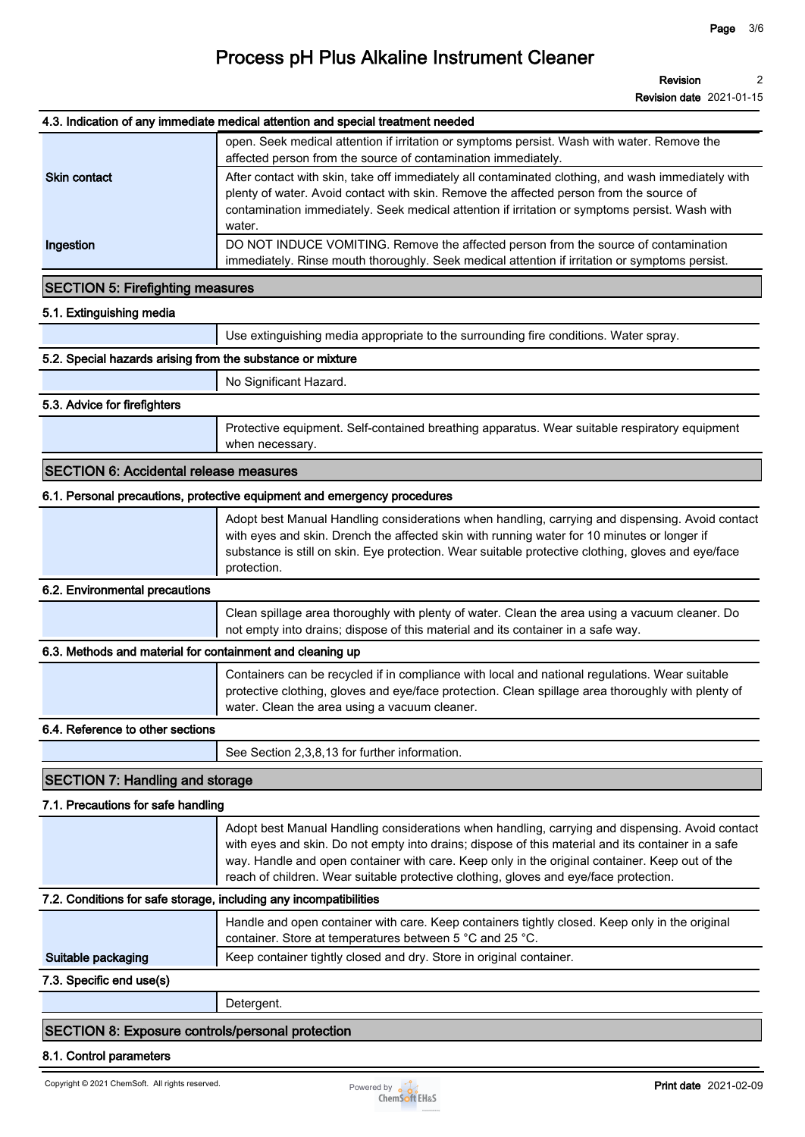#### **4.3. Indication of any immediate medical attention and special treatment needed**

| <b>Skin contact</b> | open. Seek medical attention if irritation or symptoms persist. Wash with water. Remove the<br>affected person from the source of contamination immediately.<br>After contact with skin, take off immediately all contaminated clothing, and wash immediately with<br>plenty of water. Avoid contact with skin. Remove the affected person from the source of<br>contamination immediately. Seek medical attention if irritation or symptoms persist. Wash with |
|---------------------|-----------------------------------------------------------------------------------------------------------------------------------------------------------------------------------------------------------------------------------------------------------------------------------------------------------------------------------------------------------------------------------------------------------------------------------------------------------------|
| Ingestion           | water.<br>DO NOT INDUCE VOMITING. Remove the affected person from the source of contamination<br>immediately. Rinse mouth thoroughly. Seek medical attention if irritation or symptoms persist.                                                                                                                                                                                                                                                                 |

### **SECTION 5: Firefighting measures**

| 5.1. Extinguishing media |  |
|--------------------------|--|
|--------------------------|--|

**Use extinguishing media appropriate to the surrounding fire conditions. Water spray.**

#### **5.2. Special hazards arising from the substance or mixture**

**No Significant Hazard.**

#### **5.3. Advice for firefighters**

**Protective equipment. Self-contained breathing apparatus. Wear suitable respiratory equipment when necessary.**

## **SECTION 6: Accidental release measures**

#### **6.1. Personal precautions, protective equipment and emergency procedures**

| Adopt best Manual Handling considerations when handling, carrying and dispensing. Avoid contact<br>with eyes and skin. Drench the affected skin with running water for 10 minutes or longer if |
|------------------------------------------------------------------------------------------------------------------------------------------------------------------------------------------------|
| substance is still on skin. Eye protection. Wear suitable protective clothing, gloves and eye/face<br>protection.                                                                              |

#### **6.2. Environmental precautions**

**Clean spillage area thoroughly with plenty of water. Clean the area using a vacuum cleaner. Do not empty into drains; dispose of this material and its container in a safe way.**

#### **6.3. Methods and material for containment and cleaning up**

| Containers can be recycled if in compliance with local and national regulations. Wear suitable<br>protective clothing, gloves and eye/face protection. Clean spillage area thoroughly with plenty of<br>water. Clean the area using a vacuum cleaner. |  |
|-------------------------------------------------------------------------------------------------------------------------------------------------------------------------------------------------------------------------------------------------------|--|
|                                                                                                                                                                                                                                                       |  |

### **6.4. Reference to other sections**

**See Section 2,3,8,13 for further information.**

## **SECTION 7: Handling and storage**

## **7.1. Precautions for safe handling**

|                                                                             | Adopt best Manual Handling considerations when handling, carrying and dispensing. Avoid contact<br>with eyes and skin. Do not empty into drains; dispose of this material and its container in a safe |  |  |
|-----------------------------------------------------------------------------|-------------------------------------------------------------------------------------------------------------------------------------------------------------------------------------------------------|--|--|
|                                                                             | way. Handle and open container with care. Keep only in the original container. Keep out of the                                                                                                        |  |  |
|                                                                             | reach of children. Wear suitable protective clothing, gloves and eye/face protection.                                                                                                                 |  |  |
| - 東京、西北市 JRU computer content computer JRU de computer computer PRU JRU com |                                                                                                                                                                                                       |  |  |

#### **7.2. Conditions for safe storage, including any incompatibilities**

|                          | Handle and open container with care. Keep containers tightly closed. Keep only in the original<br>container. Store at temperatures between 5 °C and 25 °C. |
|--------------------------|------------------------------------------------------------------------------------------------------------------------------------------------------------|
| Suitable packaging       | Keep container tightly closed and dry. Store in original container.                                                                                        |
| 7.3. Specific end use(s) |                                                                                                                                                            |

**Detergent.**

## **SECTION 8: Exposure controls/personal protection**

#### **8.1. Control parameters**

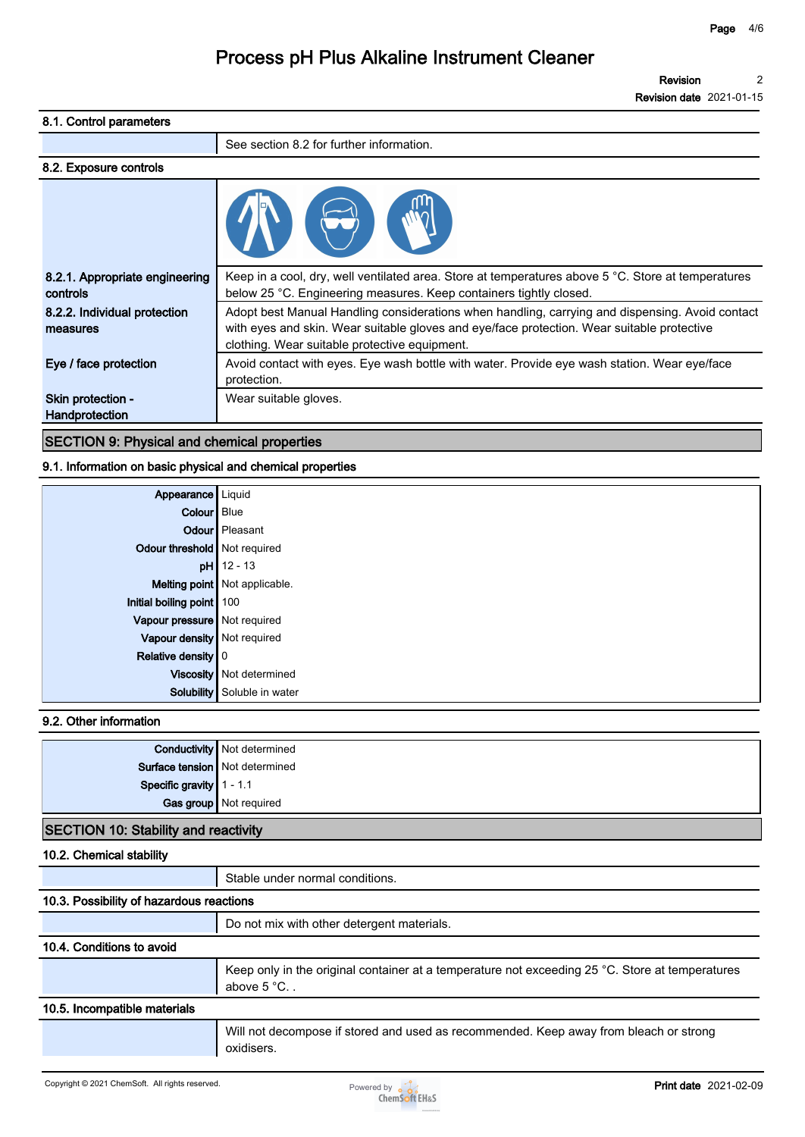## **8.1. Control parameters See section 8.2 for further information. 8.2. Exposure controls 8.2.1. Appropriate engineering controls Keep in a cool, dry, well ventilated area. Store at temperatures above 5 °C. Store at temperatures below 25 °C. Engineering measures. Keep containers tightly closed. 8.2.2. Individual protection measures Adopt best Manual Handling considerations when handling, carrying and dispensing. Avoid contact with eyes and skin. Wear suitable gloves and eye/face protection. Wear suitable protective clothing. Wear suitable protective equipment. Eye / face protection Avoid contact with eyes. Eye wash bottle with water. Provide eye wash station. Wear eye/face protection. Skin protection - Handprotection Wear suitable gloves.**

## **SECTION 9: Physical and chemical properties**

### **9.1. Information on basic physical and chemical properties**

| Appearance   Liquid              |                               |
|----------------------------------|-------------------------------|
| Colour Blue                      |                               |
|                                  | <b>Odour</b> Pleasant         |
| Odour threshold Not required     |                               |
|                                  | $pH$ 12 - 13                  |
|                                  | Melting point Not applicable. |
| Initial boiling point 100        |                               |
| Vapour pressure Not required     |                               |
| Vapour density Not required      |                               |
| Relative density $\vert 0 \vert$ |                               |
|                                  | Viscosity   Not determined    |
|                                  | Solubility Soluble in water   |

## **9.2. Other information**

|                                  | <b>Conductivity</b> Not determined |
|----------------------------------|------------------------------------|
| Surface tension   Not determined |                                    |
|                                  |                                    |
| Specific gravity 1 - 1.1         |                                    |
|                                  |                                    |

### **SECTION 10: Stability and reactivity**

**10.2. Chemical stability**

**Stable under normal conditions.**

| 10.3. Possibility of hazardous reactions |                                                                                                                        |  |
|------------------------------------------|------------------------------------------------------------------------------------------------------------------------|--|
|                                          | Do not mix with other detergent materials.                                                                             |  |
| 10.4. Conditions to avoid                |                                                                                                                        |  |
|                                          | Keep only in the original container at a temperature not exceeding 25 °C. Store at temperatures<br>above $5^{\circ}$ C |  |
| 10.5. Incompatible materials             |                                                                                                                        |  |
|                                          | Will not decompose if stored and used as recommended. Keep away from bleach or strong<br>oxidisers.                    |  |

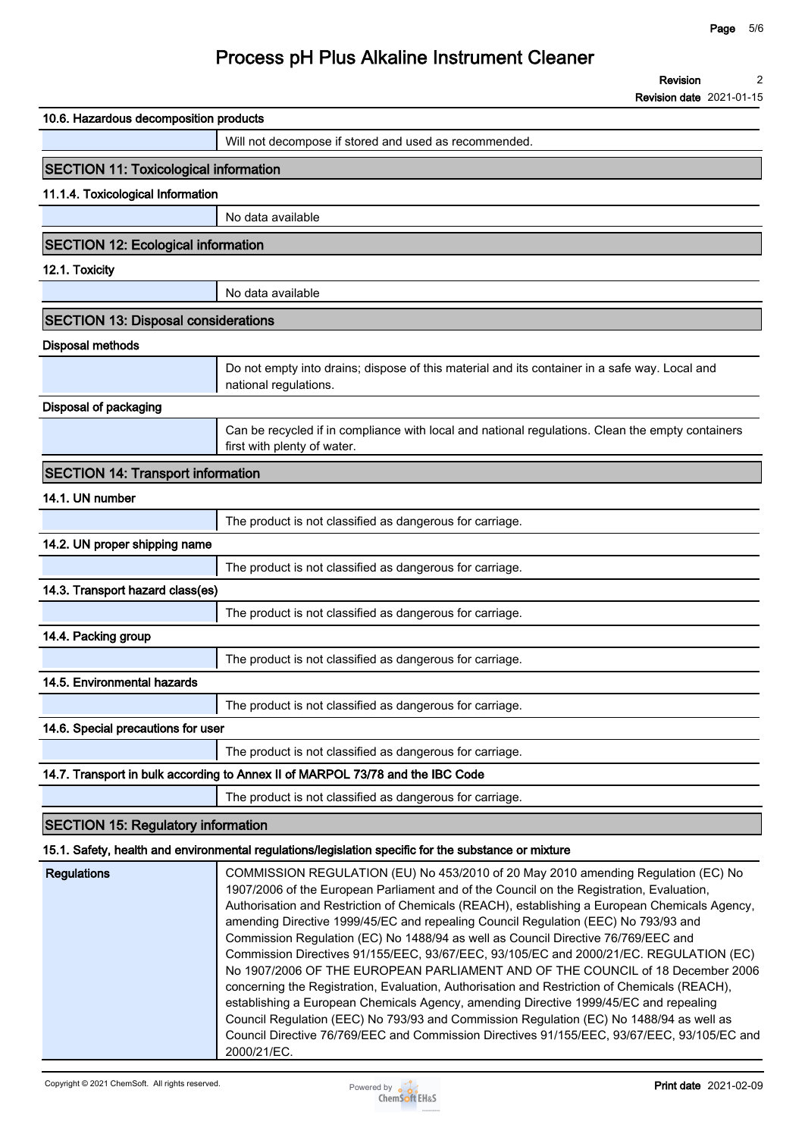|                                              | Revision                                                                                                                                                                                                                                                                                                                                                                                                                                                                                                                                                                                                                              |
|----------------------------------------------|---------------------------------------------------------------------------------------------------------------------------------------------------------------------------------------------------------------------------------------------------------------------------------------------------------------------------------------------------------------------------------------------------------------------------------------------------------------------------------------------------------------------------------------------------------------------------------------------------------------------------------------|
|                                              | <b>Revision date 2021-01-15</b>                                                                                                                                                                                                                                                                                                                                                                                                                                                                                                                                                                                                       |
| 10.6. Hazardous decomposition products       |                                                                                                                                                                                                                                                                                                                                                                                                                                                                                                                                                                                                                                       |
|                                              | Will not decompose if stored and used as recommended.                                                                                                                                                                                                                                                                                                                                                                                                                                                                                                                                                                                 |
| <b>SECTION 11: Toxicological information</b> |                                                                                                                                                                                                                                                                                                                                                                                                                                                                                                                                                                                                                                       |
| 11.1.4. Toxicological Information            |                                                                                                                                                                                                                                                                                                                                                                                                                                                                                                                                                                                                                                       |
|                                              | No data available                                                                                                                                                                                                                                                                                                                                                                                                                                                                                                                                                                                                                     |
| <b>SECTION 12: Ecological information</b>    |                                                                                                                                                                                                                                                                                                                                                                                                                                                                                                                                                                                                                                       |
| 12.1. Toxicity                               |                                                                                                                                                                                                                                                                                                                                                                                                                                                                                                                                                                                                                                       |
|                                              | No data available                                                                                                                                                                                                                                                                                                                                                                                                                                                                                                                                                                                                                     |
| <b>SECTION 13: Disposal considerations</b>   |                                                                                                                                                                                                                                                                                                                                                                                                                                                                                                                                                                                                                                       |
| <b>Disposal methods</b>                      |                                                                                                                                                                                                                                                                                                                                                                                                                                                                                                                                                                                                                                       |
|                                              | Do not empty into drains; dispose of this material and its container in a safe way. Local and                                                                                                                                                                                                                                                                                                                                                                                                                                                                                                                                         |
|                                              | national regulations.                                                                                                                                                                                                                                                                                                                                                                                                                                                                                                                                                                                                                 |
| Disposal of packaging                        |                                                                                                                                                                                                                                                                                                                                                                                                                                                                                                                                                                                                                                       |
|                                              | Can be recycled if in compliance with local and national regulations. Clean the empty containers<br>first with plenty of water.                                                                                                                                                                                                                                                                                                                                                                                                                                                                                                       |
| <b>SECTION 14: Transport information</b>     |                                                                                                                                                                                                                                                                                                                                                                                                                                                                                                                                                                                                                                       |
| 14.1. UN number                              |                                                                                                                                                                                                                                                                                                                                                                                                                                                                                                                                                                                                                                       |
|                                              | The product is not classified as dangerous for carriage.                                                                                                                                                                                                                                                                                                                                                                                                                                                                                                                                                                              |
| 14.2. UN proper shipping name                |                                                                                                                                                                                                                                                                                                                                                                                                                                                                                                                                                                                                                                       |
|                                              | The product is not classified as dangerous for carriage.                                                                                                                                                                                                                                                                                                                                                                                                                                                                                                                                                                              |
| 14.3. Transport hazard class(es)             |                                                                                                                                                                                                                                                                                                                                                                                                                                                                                                                                                                                                                                       |
|                                              | The product is not classified as dangerous for carriage.                                                                                                                                                                                                                                                                                                                                                                                                                                                                                                                                                                              |
| 14.4. Packing group                          |                                                                                                                                                                                                                                                                                                                                                                                                                                                                                                                                                                                                                                       |
|                                              | The product is not classified as dangerous for carriage.                                                                                                                                                                                                                                                                                                                                                                                                                                                                                                                                                                              |
| 14.5. Environmental hazards                  |                                                                                                                                                                                                                                                                                                                                                                                                                                                                                                                                                                                                                                       |
|                                              | The product is not classified as dangerous for carriage.                                                                                                                                                                                                                                                                                                                                                                                                                                                                                                                                                                              |
| 14.6. Special precautions for user           |                                                                                                                                                                                                                                                                                                                                                                                                                                                                                                                                                                                                                                       |
|                                              | The product is not classified as dangerous for carriage.                                                                                                                                                                                                                                                                                                                                                                                                                                                                                                                                                                              |
|                                              | 14.7. Transport in bulk according to Annex II of MARPOL 73/78 and the IBC Code                                                                                                                                                                                                                                                                                                                                                                                                                                                                                                                                                        |
|                                              | The product is not classified as dangerous for carriage.                                                                                                                                                                                                                                                                                                                                                                                                                                                                                                                                                                              |
| <b>SECTION 15: Regulatory information</b>    |                                                                                                                                                                                                                                                                                                                                                                                                                                                                                                                                                                                                                                       |
|                                              | 15.1. Safety, health and environmental regulations/legislation specific for the substance or mixture                                                                                                                                                                                                                                                                                                                                                                                                                                                                                                                                  |
| <b>Regulations</b>                           | COMMISSION REGULATION (EU) No 453/2010 of 20 May 2010 amending Regulation (EC) No<br>1907/2006 of the European Parliament and of the Council on the Registration, Evaluation,<br>Authorisation and Restriction of Chemicals (REACH), establishing a European Chemicals Agency,<br>amending Directive 1999/45/EC and repealing Council Regulation (EEC) No 793/93 and<br>Commission Regulation (EC) No 1488/94 as well as Council Directive 76/769/EEC and<br>Commission Directives 91/155/EEC, 93/67/EEC, 93/105/EC and 2000/21/EC. REGULATION (EC)<br>No 1907/2006 OF THE EUROPEAN PARLIAMENT AND OF THE COUNCIL of 18 December 2006 |

**concerning the Registration, Evaluation, Authorisation and Restriction of Chemicals (REACH), establishing a European Chemicals Agency, amending Directive 1999/45/EC and repealing Council Regulation (EEC) No 793/93 and Commission Regulation (EC) No 1488/94 as well as Council Directive 76/769/EEC and Commission Directives 91/155/EEC, 93/67/EEC, 93/105/EC and 2000/21/EC.**